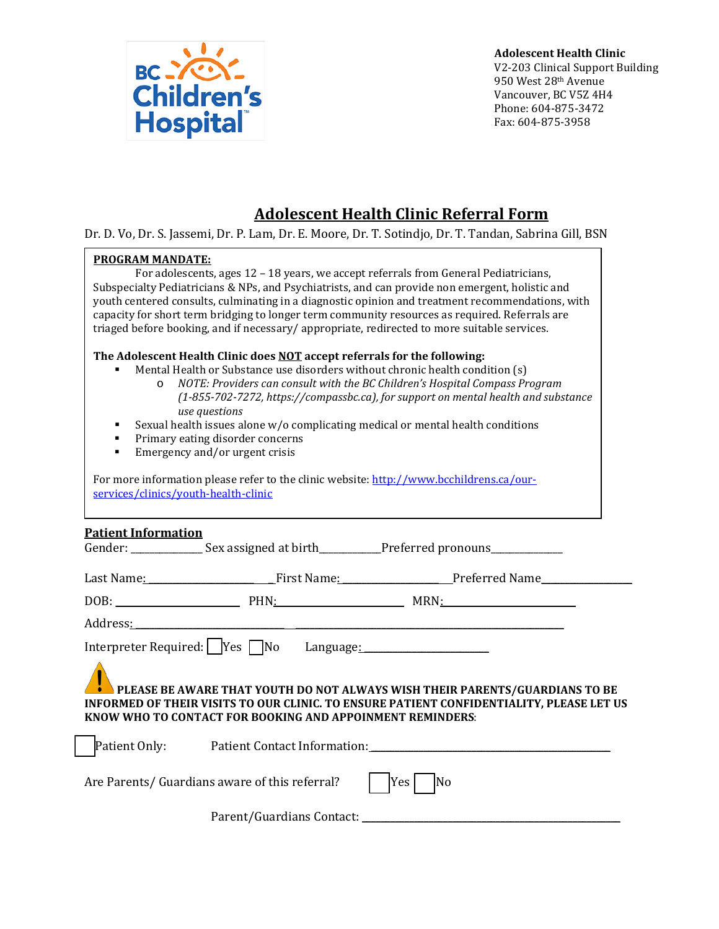

**Adolescent Health Clinic**  V2-203 Clinical Support Building 950 West 28th Avenue Vancouver, BC V5Z 4H4 Phone: 604-875-3472 Fax: 604-875-3958

# **Adolescent Health Clinic Referral Form**

Dr. D. Vo, Dr. S. Jassemi, Dr. P. Lam, Dr. E. Moore, Dr. T. Sotindjo, Dr. T. Tandan, Sabrina Gill, BSN

#### **PROGRAM MANDATE:**

For adolescents, ages 12 – 18 years, we accept referrals from General Pediatricians, Subspecialty Pediatricians & NPs, and Psychiatrists, and can provide non emergent, holistic and youth centered consults, culminating in a diagnostic opinion and treatment recommendations, with capacity for short term bridging to longer term community resources as required. Referrals are triaged before booking, and if necessary/ appropriate, redirected to more suitable services.

#### **The Adolescent Health Clinic does NOT accept referrals for the following:**

- Mental Health or Substance use disorders without chronic health condition (s)
	- o *NOTE: Providers can consult with the BC Children's Hospital Compass Program (1-855-702-7272, https://compassbc.ca), for support on mental health and substance use questions*
- Sexual health issues alone w/o complicating medical or mental health conditions
- Primary eating disorder concerns<br>• Emergency and/or urgent crisis
- Emergency and/or urgent crisis

For more information please refer to the clinic website[: http://www.bcchildrens.ca/our](http://www.bcchildrens.ca/our-services/clinics/youth-health-clinic)[services/clinics/youth-health-clinic](http://www.bcchildrens.ca/our-services/clinics/youth-health-clinic)

## **Patient Information**

| <u> истепе нигот ницегони</u>                                                                                                                                                                                                                   |                                                | Gender: _________________ Sex assigned at birth____________Preferred pronouns_______________ |  |  |
|-------------------------------------------------------------------------------------------------------------------------------------------------------------------------------------------------------------------------------------------------|------------------------------------------------|----------------------------------------------------------------------------------------------|--|--|
|                                                                                                                                                                                                                                                 |                                                | Last Name: Tirst Name: First Name: Preferred Name                                            |  |  |
|                                                                                                                                                                                                                                                 |                                                |                                                                                              |  |  |
|                                                                                                                                                                                                                                                 |                                                |                                                                                              |  |  |
| Interpreter Required: Yes No Language: 2008.                                                                                                                                                                                                    |                                                |                                                                                              |  |  |
| <b>ALL PLEASE BE AWARE THAT YOUTH DO NOT ALWAYS WISH THEIR PARENTS/GUARDIANS TO BE</b><br>INFORMED OF THEIR VISITS TO OUR CLINIC. TO ENSURE PATIENT CONFIDENTIALITY, PLEASE LET US<br>KNOW WHO TO CONTACT FOR BOOKING AND APPOINMENT REMINDERS: |                                                |                                                                                              |  |  |
|                                                                                                                                                                                                                                                 |                                                | Patient Only: Patient Contact Information: 2008 2010 2020 2021 2021 2022 2023                |  |  |
|                                                                                                                                                                                                                                                 | Are Parents/ Guardians aware of this referral? | Yes<br>No                                                                                    |  |  |
|                                                                                                                                                                                                                                                 |                                                |                                                                                              |  |  |